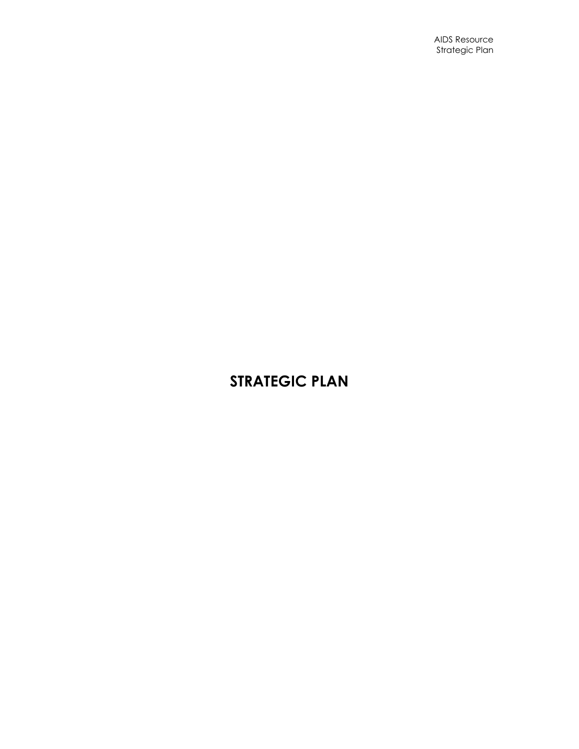# **STRATEGIC PLAN**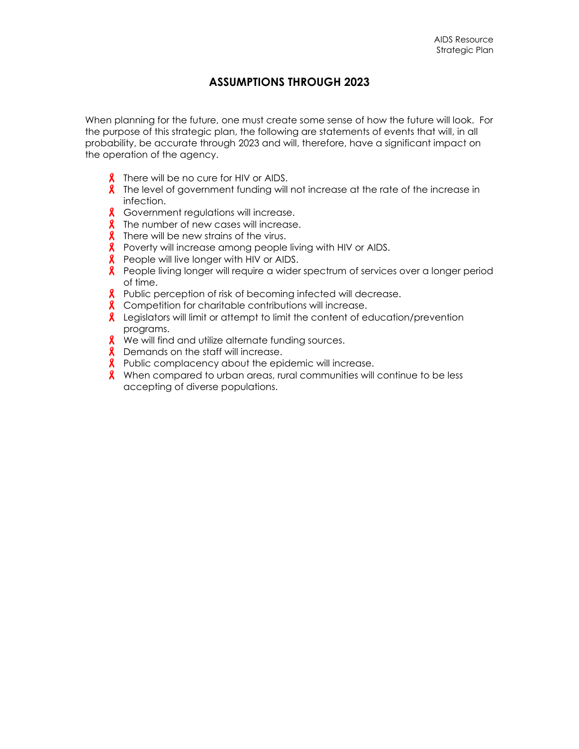## **ASSUMPTIONS THROUGH 2023**

When planning for the future, one must create some sense of how the future will look. For the purpose of this strategic plan, the following are statements of events that will, in all probability, be accurate through 2023 and will, therefore, have a significant impact on the operation of the agency.

- **8** There will be no cure for HIV or AIDS.
- $\lambda$  The level of government funding will not increase at the rate of the increase in infection.
- **8** Government regulations will increase.
- **8** The number of new cases will increase.
- **8** There will be new strains of the virus.
- **8** Poverty will increase among people living with HIV or AIDS.
- **8** People will live longer with HIV or AIDS.
- **8** People living longer will require a wider spectrum of services over a longer period of time.
- **8** Public perception of risk of becoming infected will decrease.
- **8** Competition for charitable contributions will increase.
- **&** Legislators will limit or attempt to limit the content of education/prevention programs.
- **X** We will find and utilize alternate funding sources.
- **8** Demands on the staff will increase.
- **R** Public complacency about the epidemic will increase.
- **8** When compared to urban areas, rural communities will continue to be less accepting of diverse populations.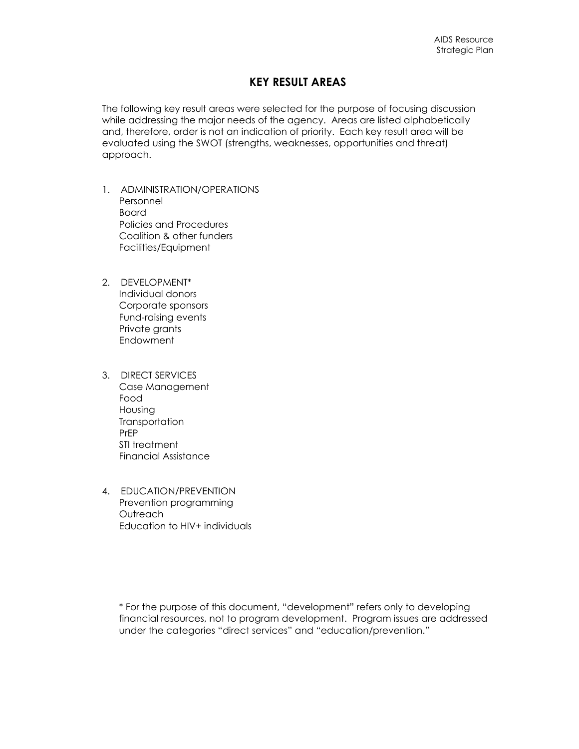## **KEY RESULT AREAS**

The following key result areas were selected for the purpose of focusing discussion while addressing the major needs of the agency. Areas are listed alphabetically and, therefore, order is not an indication of priority. Each key result area will be evaluated using the SWOT (strengths, weaknesses, opportunities and threat) approach.

- 1. ADMINISTRATION/OPERATIONS Personnel Board Policies and Procedures Coalition & other funders Facilities/Equipment
- 2. DEVELOPMENT\* Individual donors Corporate sponsors Fund-raising events Private grants **Endowment**
- 3. DIRECT SERVICES Case Management Food Housing **Transportation** PrEP STI treatment Financial Assistance
- 4. EDUCATION/PREVENTION Prevention programming **Outreach** Education to HIV+ individuals

\* For the purpose of this document, "development" refers only to developing financial resources, not to program development. Program issues are addressed under the categories "direct services" and "education/prevention."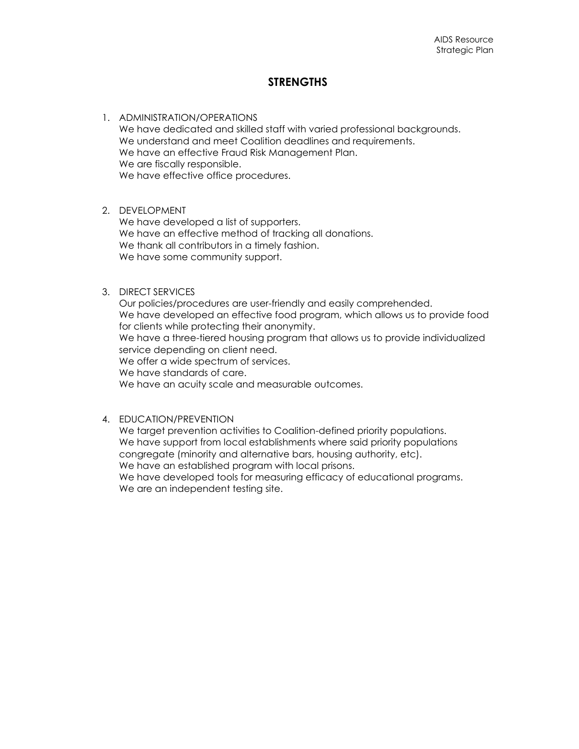## **STRENGTHS**

1. ADMINISTRATION/OPERATIONS We have dedicated and skilled staff with varied professional backgrounds. We understand and meet Coalition deadlines and requirements. We have an effective Fraud Risk Management Plan. We are fiscally responsible. We have effective office procedures.

#### 2. DEVELOPMENT

We have developed a list of supporters. We have an effective method of tracking all donations. We thank all contributors in a timely fashion. We have some community support.

#### 3. DIRECT SERVICES

Our policies/procedures are user-friendly and easily comprehended. We have developed an effective food program, which allows us to provide food for clients while protecting their anonymity. We have a three-tiered housing program that allows us to provide individualized service depending on client need. We offer a wide spectrum of services. We have standards of care. We have an acuity scale and measurable outcomes.

#### 4. EDUCATION/PREVENTION

We target prevention activities to Coalition-defined priority populations. We have support from local establishments where said priority populations congregate (minority and alternative bars, housing authority, etc). We have an established program with local prisons.

We have developed tools for measuring efficacy of educational programs. We are an independent testing site.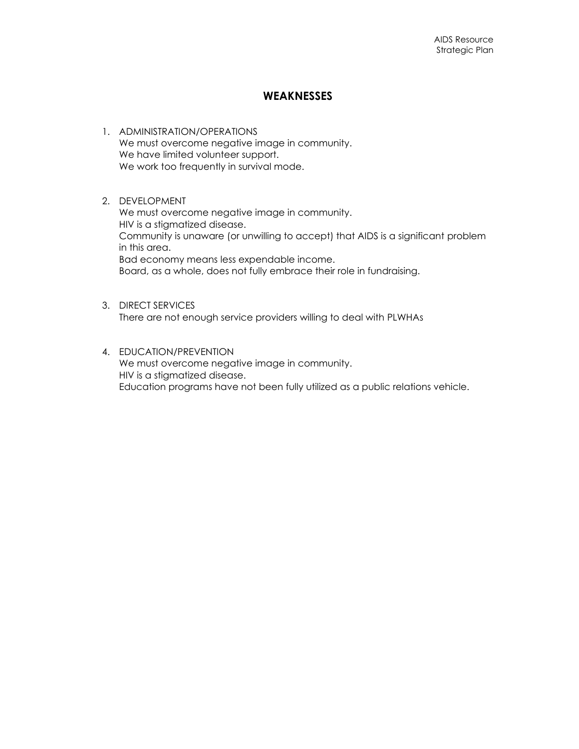### **WEAKNESSES**

- 1. ADMINISTRATION/OPERATIONS We must overcome negative image in community. We have limited volunteer support. We work too frequently in survival mode.
- 2. DEVELOPMENT We must overcome negative image in community. HIV is a stigmatized disease. Community is unaware (or unwilling to accept) that AIDS is a significant problem in this area. Bad economy means less expendable income. Board, as a whole, does not fully embrace their role in fundraising.
- 3. DIRECT SERVICES There are not enough service providers willing to deal with PLWHAs
- 4. EDUCATION/PREVENTION We must overcome negative image in community. HIV is a stigmatized disease. Education programs have not been fully utilized as a public relations vehicle.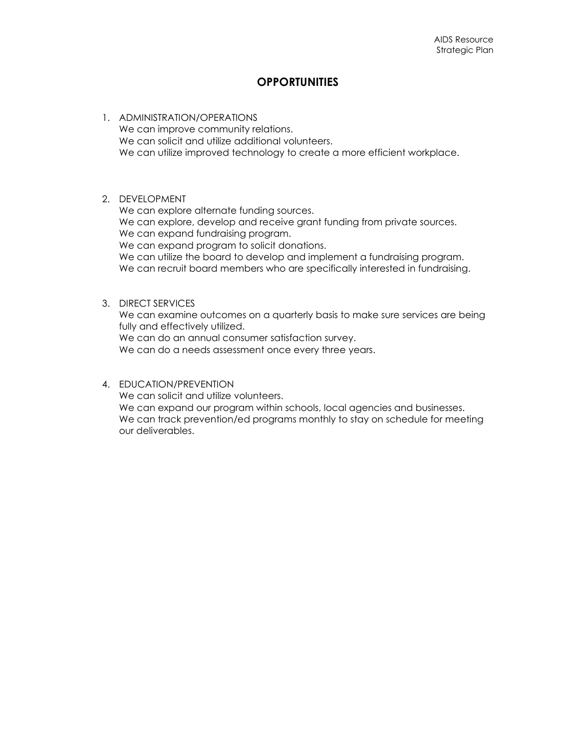## **OPPORTUNITIES**

- 1. ADMINISTRATION/OPERATIONS We can improve community relations. We can solicit and utilize additional volunteers. We can utilize improved technology to create a more efficient workplace.
- 2. DEVELOPMENT

We can explore alternate funding sources. We can explore, develop and receive grant funding from private sources. We can expand fundraising program. We can expand program to solicit donations. We can utilize the board to develop and implement a fundraising program. We can recruit board members who are specifically interested in fundraising.

#### 3. DIRECT SERVICES

We can examine outcomes on a quarterly basis to make sure services are being fully and effectively utilized.

We can do an annual consumer satisfaction survey.

We can do a needs assessment once every three years.

#### 4. EDUCATION/PREVENTION

We can solicit and utilize volunteers. We can expand our program within schools, local agencies and businesses. We can track prevention/ed programs monthly to stay on schedule for meeting our deliverables.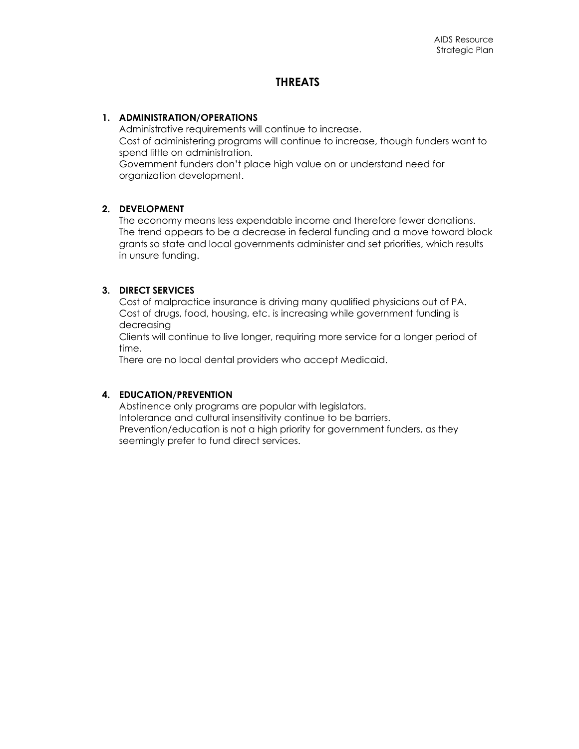## **THREATS**

#### **1. ADMINISTRATION/OPERATIONS**

Administrative requirements will continue to increase. Cost of administering programs will continue to increase, though funders want to spend little on administration. Government funders don't place high value on or understand need for organization development.

#### **2. DEVELOPMENT**

The economy means less expendable income and therefore fewer donations. The trend appears to be a decrease in federal funding and a move toward block grants so state and local governments administer and set priorities, which results in unsure funding.

#### **3. DIRECT SERVICES**

Cost of malpractice insurance is driving many qualified physicians out of PA. Cost of drugs, food, housing, etc. is increasing while government funding is decreasing

Clients will continue to live longer, requiring more service for a longer period of time.

There are no local dental providers who accept Medicaid.

#### **4. EDUCATION/PREVENTION**

Abstinence only programs are popular with legislators. Intolerance and cultural insensitivity continue to be barriers. Prevention/education is not a high priority for government funders, as they seemingly prefer to fund direct services.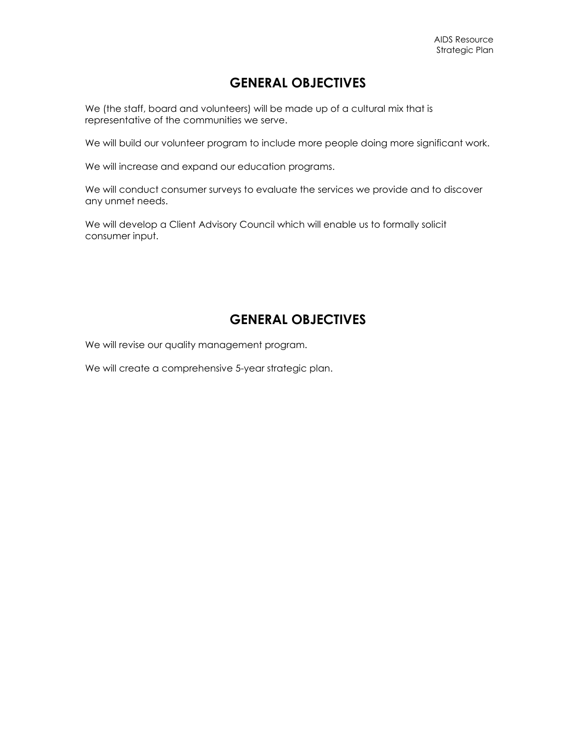## **GENERAL OBJECTIVES**

We (the staff, board and volunteers) will be made up of a cultural mix that is representative of the communities we serve.

We will build our volunteer program to include more people doing more significant work.

We will increase and expand our education programs.

We will conduct consumer surveys to evaluate the services we provide and to discover any unmet needs.

We will develop a Client Advisory Council which will enable us to formally solicit consumer input.

## **GENERAL OBJECTIVES**

We will revise our quality management program.

We will create a comprehensive 5-year strategic plan.